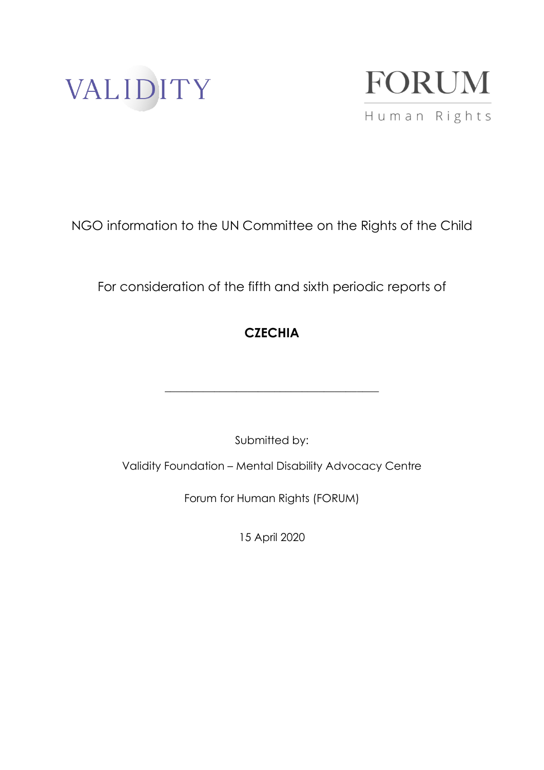



NGO information to the UN Committee on the Rights of the Child

For consideration of the fifth and sixth periodic reports of

# **CZECHIA**

Submitted by:

**\_\_\_\_\_\_\_\_\_\_\_\_\_\_\_\_\_\_\_\_\_\_\_\_\_\_\_\_\_\_\_\_\_\_\_\_\_\_\_**

Validity Foundation – Mental Disability Advocacy Centre

Forum for Human Rights (FORUM)

15 April 2020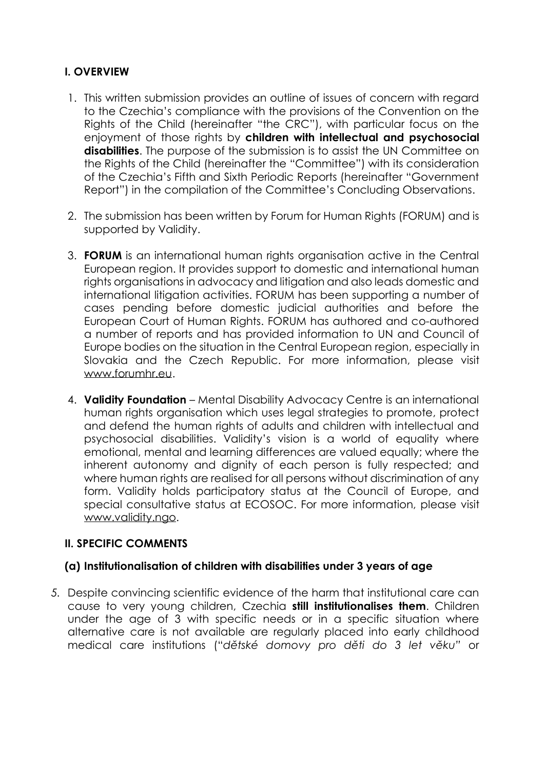# **I. OVERVIEW**

- 1. This written submission provides an outline of issues of concern with regard to the Czechia's compliance with the provisions of the Convention on the Rights of the Child (hereinafter "the CRC"), with particular focus on the enjoyment of those rights by **children with intellectual and psychosocial disabilities**. The purpose of the submission is to assist the UN Committee on the Rights of the Child (hereinafter the "Committee") with its consideration of the Czechia's Fifth and Sixth Periodic Reports (hereinafter "Government Report") in the compilation of the Committee's Concluding Observations.
- 2. The submission has been written by Forum for Human Rights (FORUM) and is supported by Validity.
- 3. **FORUM** is an international human rights organisation active in the Central European region. It provides support to domestic and international human rights organisations in advocacy and litigation and also leads domestic and international litigation activities. FORUM has been supporting a number of cases pending before domestic judicial authorities and before the European Court of Human Rights. FORUM has authored and co-authored a number of reports and has provided information to UN and Council of Europe bodies on the situation in the Central European region, especially in Slovakia and the Czech Republic. For more information, please visit [www.forumhr.eu.](http://www.forumhr.eu/)
- 4. **Validity Foundation** Mental Disability Advocacy Centre is an international human rights organisation which uses legal strategies to promote, protect and defend the human rights of adults and children with intellectual and psychosocial disabilities. Validity's vision is a world of equality where emotional, mental and learning differences are valued equally; where the inherent autonomy and dignity of each person is fully respected; and where human rights are realised for all persons without discrimination of any form. Validity holds participatory status at the Council of Europe, and special consultative status at ECOSOC. For more information, please visit [www.validity.ngo.](http://www.validity.ngo/)

# **II. SPECIFIC COMMENTS**

# **(a) Institutionalisation of children with disabilities under 3 years of age**

*5.* Despite convincing scientific evidence of the harm that institutional care can cause to very young children, Czechia **still institutionalises them**. Children under the age of 3 with specific needs or in a specific situation where alternative care is not available are regularly placed into early childhood medical care institutions ("*dětské domovy pro děti do 3 let věku"* or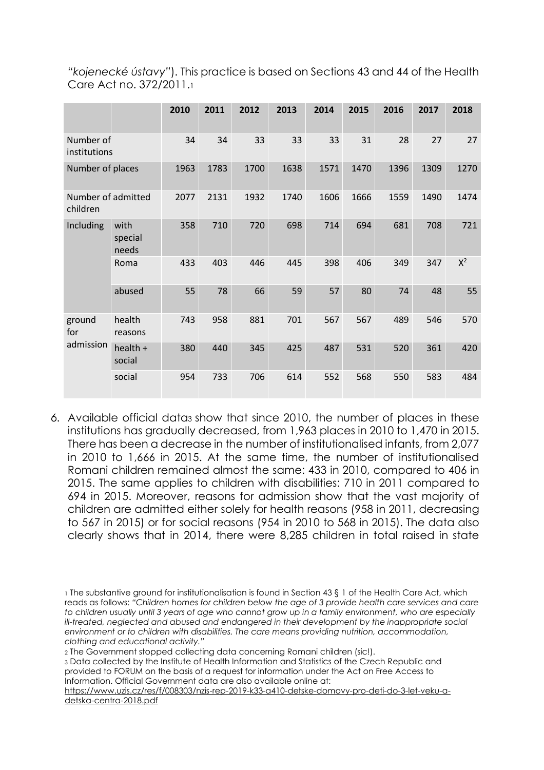| "kojenecké ústavy"). This practice is based on Sections 43 and 44 of the Health |  |
|---------------------------------------------------------------------------------|--|
| Care Act no. 372/2011.                                                          |  |

|                                |                          | 2010 | 2011 | 2012 | 2013 | 2014 | 2015 | 2016 | 2017 | 2018  |
|--------------------------------|--------------------------|------|------|------|------|------|------|------|------|-------|
| Number of<br>institutions      |                          | 34   | 34   | 33   | 33   | 33   | 31   | 28   | 27   | 27    |
| Number of places               |                          | 1963 | 1783 | 1700 | 1638 | 1571 | 1470 | 1396 | 1309 | 1270  |
| Number of admitted<br>children |                          | 2077 | 2131 | 1932 | 1740 | 1606 | 1666 | 1559 | 1490 | 1474  |
| Including                      | with<br>special<br>needs | 358  | 710  | 720  | 698  | 714  | 694  | 681  | 708  | 721   |
|                                | Roma                     | 433  | 403  | 446  | 445  | 398  | 406  | 349  | 347  | $X^2$ |
|                                | abused                   | 55   | 78   | 66   | 59   | 57   | 80   | 74   | 48   | 55    |
| ground<br>for                  | health<br>reasons        | 743  | 958  | 881  | 701  | 567  | 567  | 489  | 546  | 570   |
| admission                      | health $+$<br>social     | 380  | 440  | 345  | 425  | 487  | 531  | 520  | 361  | 420   |
|                                | social                   | 954  | 733  | 706  | 614  | 552  | 568  | 550  | 583  | 484   |

*6.* Available official data<sup>3</sup> show that since 2010, the number of places in these institutions has gradually decreased, from 1,963 places in 2010 to 1,470 in 2015. There has been a decrease in the number of institutionalised infants, from 2,077 in 2010 to 1,666 in 2015. At the same time, the number of institutionalised Romani children remained almost the same: 433 in 2010, compared to 406 in 2015. The same applies to children with disabilities: 710 in 2011 compared to 694 in 2015. Moreover, reasons for admission show that the vast majority of children are admitted either solely for health reasons (958 in 2011, decreasing to 567 in 2015) or for social reasons (954 in 2010 to 568 in 2015). The data also clearly shows that in 2014, there were 8,285 children in total raised in state

<sup>2</sup> The Government stopped collecting data concerning Romani children (sic!).

<sup>3</sup> Data collected by the Institute of Health Information and Statistics of the Czech Republic and provided to FORUM on the basis of a request for information under the Act on Free Access to Information. Official Government data are also available online at:

[https://www.uzis.cz/res/f/008303/nzis-rep-2019-k33-a410-detske-domovy-pro-deti-do-3-let-veku-a](https://www.uzis.cz/res/f/008303/nzis-rep-2019-k33-a410-detske-domovy-pro-deti-do-3-let-veku-a-detska-centra-2018.pdf)[detska-centra-2018.pdf](https://www.uzis.cz/res/f/008303/nzis-rep-2019-k33-a410-detske-domovy-pro-deti-do-3-let-veku-a-detska-centra-2018.pdf)

<sup>1</sup> The substantive ground for institutionalisation is found in Section 43 § 1 of the Health Care Act, which reads as follows: *"Children homes for children below the age of 3 provide health care services and care* to children usually until 3 years of age who cannot grow up in a family environment, who are especially *ill-treated, neglected and abused and endangered in their development by the inappropriate social environment or to children with disabilities. The care means providing nutrition, accommodation, clothing and educational activity."*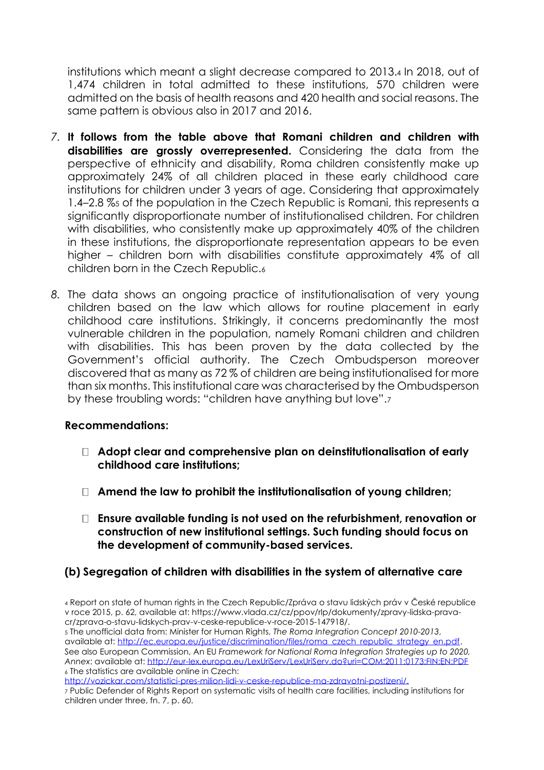institutions which meant a slight decrease compared to 2013.<sup>4</sup> In 2018, out of 1,474 children in total admitted to these institutions, 570 children were admitted on the basis of health reasons and 420 health and social reasons. The same pattern is obvious also in 2017 and 2016.

- *7.* **It follows from the table above that Romani children and children with disabilities are grossly overrepresented.** Considering the data from the perspective of ethnicity and disability, Roma children consistently make up approximately 24% of all children placed in these early childhood care institutions for children under 3 years of age. Considering that approximately 1.4–2.8 %<sup>5</sup> of the population in the Czech Republic is Romani, this represents a significantly disproportionate number of institutionalised children. For children with disabilities, who consistently make up approximately 40% of the children in these institutions, the disproportionate representation appears to be even higher – children born with disabilities constitute approximately 4% of all children born in the Czech Republic.<sup>6</sup>
- *8.* The data shows an ongoing practice of institutionalisation of very young children based on the law which allows for routine placement in early childhood care institutions. Strikingly, it concerns predominantly the most vulnerable children in the population, namely Romani children and children with disabilities. This has been proven by the data collected by the Government's official authority. The Czech Ombudsperson moreover discovered that as many as 72 % of children are being institutionalised for more than six months. This institutional care was characterised by the Ombudsperson by these troubling words: "children have anything but love".<sup>7</sup>

#### **Recommendations:**

- **Adopt clear and comprehensive plan on deinstitutionalisation of early childhood care institutions;**
- **Amend the law to prohibit the institutionalisation of young children;**
- **Ensure available funding is not used on the refurbishment, renovation or construction of new institutional settings. Such funding should focus on the development of community-based services.**

# **(b) Segregation of children with disabilities in the system of alternative care**

<sup>5</sup> The unofficial data from: Minister for Human Rights, *The Roma Integration Concept 2010-2013*, available at: [http://ec.europa.eu/justice/discrimination/files/roma\\_czech\\_republic\\_strategy\\_en.pdf.](http://ec.europa.eu/justice/discrimination/files/roma_czech_republic_strategy_en.pdf) See also European Commission, An EU *Framework for National Roma Integration Strategies up to 2020, Annex*: available at:<http://eur-lex.europa.eu/LexUriServ/LexUriServ.do?uri=COM:2011:0173:FIN:EN:PDF> <sup>6</sup> The statistics are available online in Czech:

[http://vozickar.com/statistici-pres-milion-lidi-v-ceske-republice-ma-zdravotni-postizeni/.](http://vozickar.com/statistici-pres-milion-lidi-v-ceske-republice-ma-zdravotni-postizeni/)

<sup>4</sup> Report on state of human rights in the Czech Republic/Zpráva o stavu lidských práv v České republice v roce 2015, p. 62, available at: [https://www.vlada.cz/cz/ppov/rlp/dokumenty/zpravy-lidska-prava](https://www.vlada.cz/cz/ppov/rlp/dokumenty/zpravy-lidska-prava-cr/zprava-o-stavu-lidskych-prav-v-ceske-republice-v-roce-2015-147918/)[cr/zprava-o-stavu-lidskych-prav-v-ceske-republice-v-roce-2015-147918/.](https://www.vlada.cz/cz/ppov/rlp/dokumenty/zpravy-lidska-prava-cr/zprava-o-stavu-lidskych-prav-v-ceske-republice-v-roce-2015-147918/)

<sup>7</sup> Public Defender of Rights Report on systematic visits of health care facilities, including institutions for children under three, fn. 7, p. 60.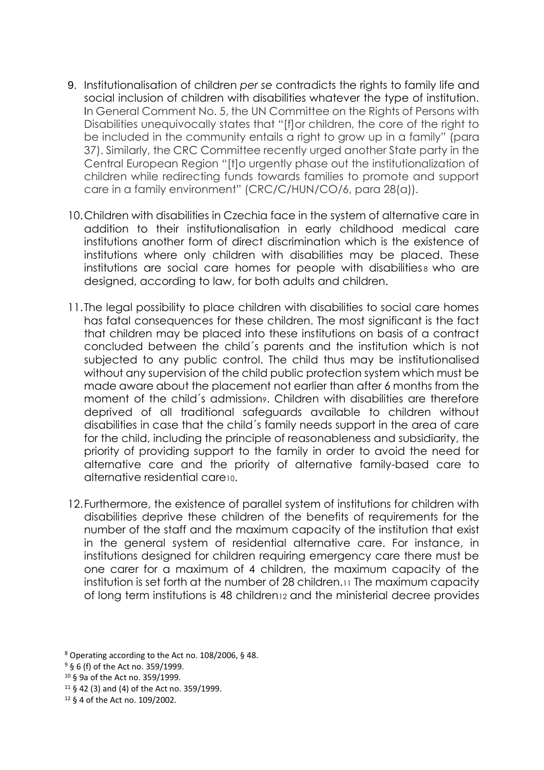- 9. Institutionalisation of children *per se* contradicts the rights to family life and social inclusion of children with disabilities whatever the type of institution. In General Comment No. 5, the UN Committee on the Rights of Persons with Disabilities unequivocally states that "[f]or children, the core of the right to be included in the community entails a right to grow up in a family" (para 37). Similarly, the CRC Committee recently urged another State party in the Central European Region "[t]o urgently phase out the institutionalization of children while redirecting funds towards families to promote and support care in a family environment" (CRC/C/HUN/CO/6, para 28(a)).
- 10.Children with disabilities in Czechia face in the system of alternative care in addition to their institutionalisation in early childhood medical care institutions another form of direct discrimination which is the existence of institutions where only children with disabilities may be placed. These institutions are social care homes for people with disabilities a who are designed, according to law, for both adults and children.
- 11.The legal possibility to place children with disabilities to social care homes has fatal consequences for these children. The most significant is the fact that children may be placed into these institutions on basis of a contract concluded between the child´s parents and the institution which is not subjected to any public control. The child thus may be institutionalised without any supervision of the child public protection system which must be made aware about the placement not earlier than after 6 months from the moment of the child's admission<sup>9</sup>. Children with disabilities are therefore deprived of all traditional safeguards available to children without disabilities in case that the child´s family needs support in the area of care for the child, including the principle of reasonableness and subsidiarity, the priority of providing support to the family in order to avoid the need for alternative care and the priority of alternative family-based care to alternative residential care10.
- 12.Furthermore, the existence of parallel system of institutions for children with disabilities deprive these children of the benefits of requirements for the number of the staff and the maximum capacity of the institution that exist in the general system of residential alternative care. For instance, in institutions designed for children requiring emergency care there must be one carer for a maximum of 4 children, the maximum capacity of the institution is set forth at the number of 28 children.<sup>11</sup> The maximum capacity of long term institutions is 48 children<sup>12</sup> and the ministerial decree provides

<sup>11</sup> § 42 (3) and (4) of the Act no. 359/1999.

<sup>8</sup> Operating according to the Act no. 108/2006, § 48.

<sup>9</sup> § 6 (f) of the Act no. 359/1999.

<sup>10</sup> § 9a of the Act no. 359/1999.

<sup>12</sup> § 4 of the Act no. 109/2002.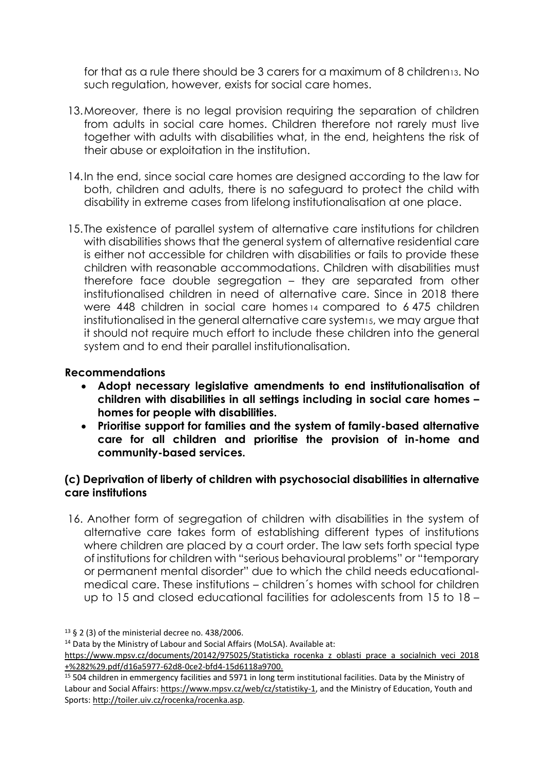for that as a rule there should be 3 carers for a maximum of 8 children13. No such regulation, however, exists for social care homes.

- 13.Moreover, there is no legal provision requiring the separation of children from adults in social care homes. Children therefore not rarely must live together with adults with disabilities what, in the end, heightens the risk of their abuse or exploitation in the institution.
- 14.In the end, since social care homes are designed according to the law for both, children and adults, there is no safeguard to protect the child with disability in extreme cases from lifelong institutionalisation at one place.
- 15.The existence of parallel system of alternative care institutions for children with disabilities shows that the general system of alternative residential care is either not accessible for children with disabilities or fails to provide these children with reasonable accommodations. Children with disabilities must therefore face double segregation – they are separated from other institutionalised children in need of alternative care. Since in 2018 there were 448 children in social care homes <sup>14</sup> compared to 6 475 children institutionalised in the general alternative care system15, we may argue that it should not require much effort to include these children into the general system and to end their parallel institutionalisation.

## **Recommendations**

- **Adopt necessary legislative amendments to end institutionalisation of children with disabilities in all settings including in social care homes – homes for people with disabilities.**
- **Prioritise support for families and the system of family-based alternative care for all children and prioritise the provision of in-home and community-based services.**

## **(c) Deprivation of liberty of children with psychosocial disabilities in alternative care institutions**

16. Another form of segregation of children with disabilities in the system of alternative care takes form of establishing different types of institutions where children are placed by a court order. The law sets forth special type of institutions for children with "serious behavioural problems" or "temporary or permanent mental disorder" due to which the child needs educationalmedical care. These institutions – children´s homes with school for children up to 15 and closed educational facilities for adolescents from 15 to 18 –

<sup>13</sup> § 2 (3) of the ministerial decree no. 438/2006.

<sup>14</sup> Data by the Ministry of Labour and Social Affairs (MoLSA). Available at:

https://www.mpsv.cz/documents/20142/975025/Statisticka rocenka z oblasti prace a socialnich veci 2018 [+%282%29.pdf/d16a5977-62d8-0ce2-bfd4-15d6118a9700.](https://www.mpsv.cz/documents/20142/975025/Statisticka_rocenka_z_oblasti_prace_a_socialnich_veci_2018+%282%29.pdf/d16a5977-62d8-0ce2-bfd4-15d6118a9700)

<sup>15</sup> 504 children in emmergency facilities and 5971 in long term institutional facilities. Data by the Ministry of Labour and Social Affairs: [https://www.mpsv.cz/web/cz/statistiky-1,](https://www.mpsv.cz/web/cz/statistiky-1) and the Ministry of Education, Youth and Sports: [http://toiler.uiv.cz/rocenka/rocenka.asp.](http://toiler.uiv.cz/rocenka/rocenka.asp)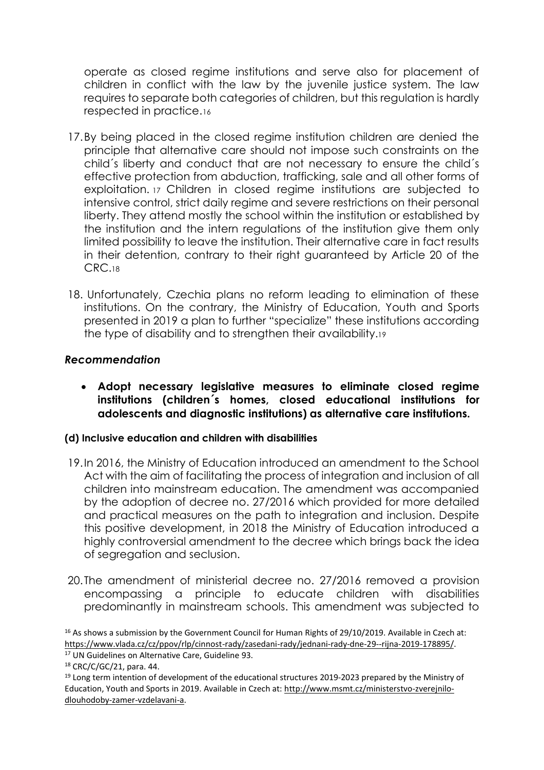operate as closed regime institutions and serve also for placement of children in conflict with the law by the juvenile justice system. The law requires to separate both categories of children, but this regulation is hardly respected in practice.<sup>16</sup>

- 17.By being placed in the closed regime institution children are denied the principle that alternative care should not impose such constraints on the child´s liberty and conduct that are not necessary to ensure the child´s effective protection from abduction, trafficking, sale and all other forms of exploitation. <sup>17</sup> Children in closed regime institutions are subjected to intensive control, strict daily regime and severe restrictions on their personal liberty. They attend mostly the school within the institution or established by the institution and the intern regulations of the institution give them only limited possibility to leave the institution. Their alternative care in fact results in their detention, contrary to their right guaranteed by Article 20 of the CRC.<sup>18</sup>
- 18. Unfortunately, Czechia plans no reform leading to elimination of these institutions. On the contrary, the Ministry of Education, Youth and Sports presented in 2019 a plan to further "specialize" these institutions according the type of disability and to strengthen their availability.<sup>19</sup>

## *Recommendation*

• **Adopt necessary legislative measures to eliminate closed regime institutions (children´s homes, closed educational institutions for adolescents and diagnostic institutions) as alternative care institutions.**

## **(d) Inclusive education and children with disabilities**

- 19.In 2016, the Ministry of Education introduced an amendment to the School Act with the aim of facilitating the process of integration and inclusion of all children into mainstream education. The amendment was accompanied by the adoption of decree no. 27/2016 which provided for more detailed and practical measures on the path to integration and inclusion. Despite this positive development, in 2018 the Ministry of Education introduced a highly controversial amendment to the decree which brings back the idea of segregation and seclusion.
- 20.The amendment of ministerial decree no. 27/2016 removed a provision encompassing a principle to educate children with disabilities predominantly in mainstream schools. This amendment was subjected to

<sup>&</sup>lt;sup>16</sup> As shows a submission by the Government Council for Human Rights of 29/10/2019. Available in Czech at: [https://www.vlada.cz/cz/ppov/rlp/cinnost-rady/zasedani-rady/jednani-rady-dne-29--rijna-2019-178895/.](https://www.vlada.cz/cz/ppov/rlp/cinnost-rady/zasedani-rady/jednani-rady-dne-29--rijna-2019-178895/)

<sup>17</sup> UN Guidelines on Alternative Care, Guideline 93.

<sup>18</sup> CRC/C/GC/21, para. 44.

<sup>&</sup>lt;sup>19</sup> Long term intention of development of the educational structures 2019-2023 prepared by the Ministry of Education, Youth and Sports in 2019. Available in Czech at: [http://www.msmt.cz/ministerstvo-zverejnilo](http://www.msmt.cz/ministerstvo-zverejnilo-dlouhodoby-zamer-vzdelavani-a)[dlouhodoby-zamer-vzdelavani-a.](http://www.msmt.cz/ministerstvo-zverejnilo-dlouhodoby-zamer-vzdelavani-a)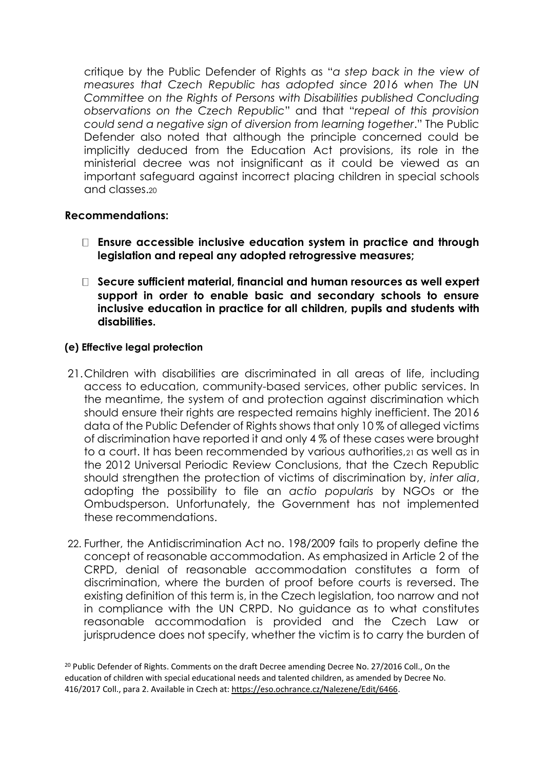critique by the Public Defender of Rights as "*a step back in the view of measures that Czech Republic has adopted since 2016 when The UN Committee on the Rights of Persons with Disabilities published Concluding observations on the Czech Republic*" and that "*repeal of this provision could send a negative sign of diversion from learning together*." The Public Defender also noted that although the principle concerned could be implicitly deduced from the Education Act provisions, its role in the ministerial decree was not insignificant as it could be viewed as an important safeguard against incorrect placing children in special schools and classes.<sup>20</sup>

#### **Recommendations:**

- **Ensure accessible inclusive education system in practice and through legislation and repeal any adopted retrogressive measures;**
- **Secure sufficient material, financial and human resources as well expert support in order to enable basic and secondary schools to ensure inclusive education in practice for all children, pupils and students with disabilities.**

#### **(e) Effective legal protection**

- 21.Children with disabilities are discriminated in all areas of life, including access to education, community-based services, other public services. In the meantime, the system of and protection against discrimination which should ensure their rights are respected remains highly inefficient. The 2016 data of the Public Defender of Rights shows that only 10 % of alleged victims of discrimination have reported it and only 4 % of these cases were brought to a court. It has been recommended by various authorities,<sup>21</sup> as well as in the 2012 Universal Periodic Review Conclusions, that the Czech Republic should strengthen the protection of victims of discrimination by, *inter alia*, adopting the possibility to file an *actio popularis* by NGOs or the Ombudsperson. Unfortunately, the Government has not implemented these recommendations.
- 22. Further, the Antidiscrimination Act no. 198/2009 fails to properly define the concept of reasonable accommodation. As emphasized in Article 2 of the CRPD, denial of reasonable accommodation constitutes a form of discrimination, where the burden of proof before courts is reversed. The existing definition of this term is, in the Czech legislation, too narrow and not in compliance with the UN CRPD. No guidance as to what constitutes reasonable accommodation is provided and the Czech Law or jurisprudence does not specify, whether the victim is to carry the burden of

<sup>&</sup>lt;sup>20</sup> Public Defender of Rights. Comments on the draft Decree amending Decree No. 27/2016 Coll., On the education of children with special educational needs and talented children, as amended by Decree No. 416/2017 Coll., para 2. Available in Czech at: [https://eso.ochrance.cz/Nalezene/Edit/6466.](https://eso.ochrance.cz/Nalezene/Edit/6466)